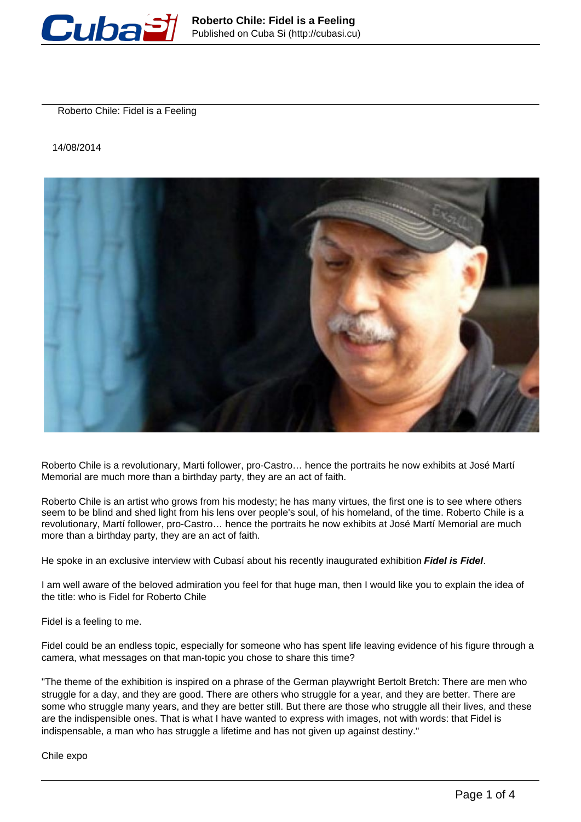

Roberto Chile: Fidel is a Feeling

14/08/2014



Roberto Chile is a revolutionary, Marti follower, pro-Castro… hence the portraits he now exhibits at José Martí Memorial are much more than a birthday party, they are an act of faith.

Roberto Chile is an artist who grows from his modesty; he has many virtues, the first one is to see where others seem to be blind and shed light from his lens over people's soul, of his homeland, of the time. Roberto Chile is a revolutionary, Martí follower, pro-Castro… hence the portraits he now exhibits at José Martí Memorial are much more than a birthday party, they are an act of faith.

He spoke in an exclusive interview with Cubasí about his recently inaugurated exhibition **Fidel is Fidel**.

I am well aware of the beloved admiration you feel for that huge man, then I would like you to explain the idea of the title: who is Fidel for Roberto Chile

Fidel is a feeling to me.

Fidel could be an endless topic, especially for someone who has spent life leaving evidence of his figure through a camera, what messages on that man-topic you chose to share this time?

"The theme of the exhibition is inspired on a phrase of the German playwright Bertolt Bretch: There are men who struggle for a day, and they are good. There are others who struggle for a year, and they are better. There are some who struggle many years, and they are better still. But there are those who struggle all their lives, and these are the indispensible ones. That is what I have wanted to express with images, not with words: that Fidel is indispensable, a man who has struggle a lifetime and has not given up against destiny."

Chile expo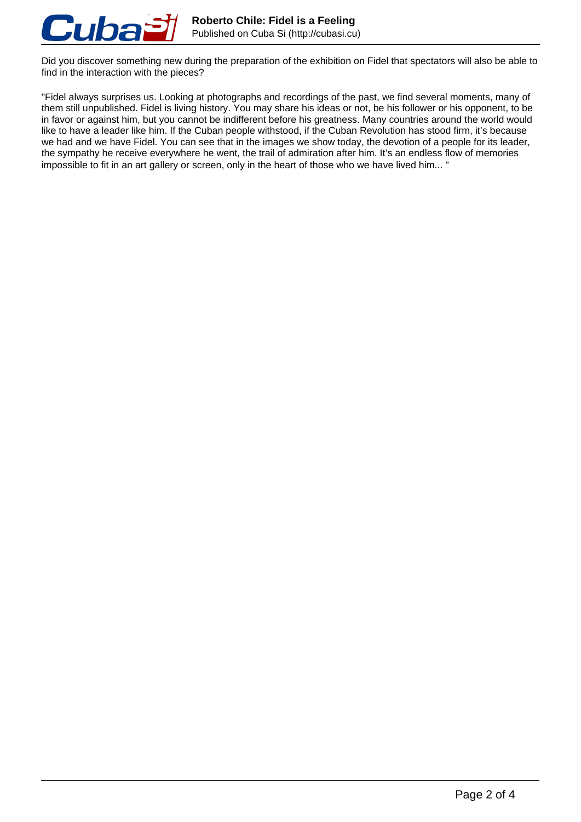

Did you discover something new during the preparation of the exhibition on Fidel that spectators will also be able to find in the interaction with the pieces?

"Fidel always surprises us. Looking at photographs and recordings of the past, we find several moments, many of them still unpublished. Fidel is living history. You may share his ideas or not, be his follower or his opponent, to be in favor or against him, but you cannot be indifferent before his greatness. Many countries around the world would like to have a leader like him. If the Cuban people withstood, if the Cuban Revolution has stood firm, it's because we had and we have Fidel. You can see that in the images we show today, the devotion of a people for its leader, the sympathy he receive everywhere he went, the trail of admiration after him. It's an endless flow of memories impossible to fit in an art gallery or screen, only in the heart of those who we have lived him... "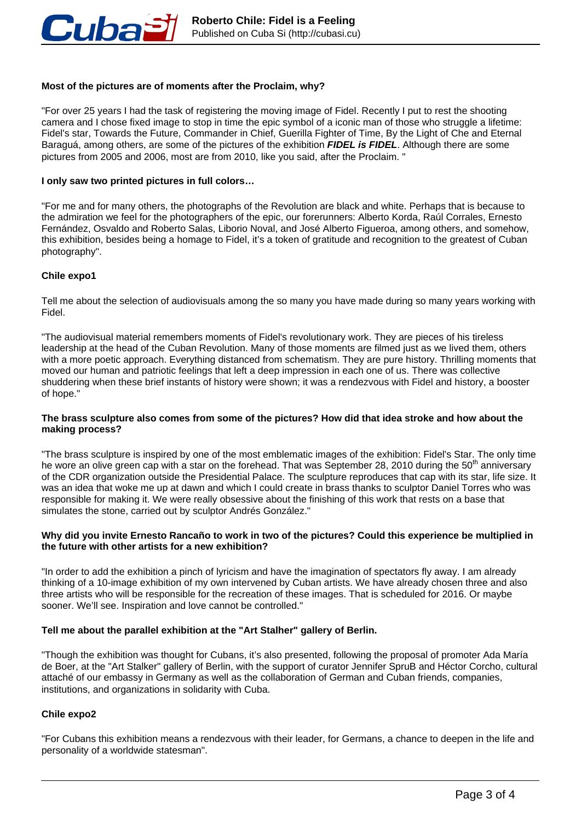

# **Most of the pictures are of moments after the Proclaim, why?**

"For over 25 years I had the task of registering the moving image of Fidel. Recently I put to rest the shooting camera and I chose fixed image to stop in time the epic symbol of a iconic man of those who struggle a lifetime: Fidel's star, Towards the Future, Commander in Chief, Guerilla Fighter of Time, By the Light of Che and Eternal Baraguá, among others, are some of the pictures of the exhibition **FIDEL is FIDEL**. Although there are some pictures from 2005 and 2006, most are from 2010, like you said, after the Proclaim. "

### **I only saw two printed pictures in full colors…**

"For me and for many others, the photographs of the Revolution are black and white. Perhaps that is because to the admiration we feel for the photographers of the epic, our forerunners: Alberto Korda, Raúl Corrales, Ernesto Fernández, Osvaldo and Roberto Salas, Liborio Noval, and José Alberto Figueroa, among others, and somehow, this exhibition, besides being a homage to Fidel, it's a token of gratitude and recognition to the greatest of Cuban photography".

# **Chile expo1**

Tell me about the selection of audiovisuals among the so many you have made during so many years working with Fidel.

"The audiovisual material remembers moments of Fidel's revolutionary work. They are pieces of his tireless leadership at the head of the Cuban Revolution. Many of those moments are filmed just as we lived them, others with a more poetic approach. Everything distanced from schematism. They are pure history. Thrilling moments that moved our human and patriotic feelings that left a deep impression in each one of us. There was collective shuddering when these brief instants of history were shown; it was a rendezvous with Fidel and history, a booster of hope."

#### **The brass sculpture also comes from some of the pictures? How did that idea stroke and how about the making process?**

"The brass sculpture is inspired by one of the most emblematic images of the exhibition: Fidel's Star. The only time he wore an olive green cap with a star on the forehead. That was September 28, 2010 during the 50<sup>th</sup> anniversary of the CDR organization outside the Presidential Palace. The sculpture reproduces that cap with its star, life size. It was an idea that woke me up at dawn and which I could create in brass thanks to sculptor Daniel Torres who was responsible for making it. We were really obsessive about the finishing of this work that rests on a base that simulates the stone, carried out by sculptor Andrés González."

#### **Why did you invite Ernesto Rancaño to work in two of the pictures? Could this experience be multiplied in the future with other artists for a new exhibition?**

"In order to add the exhibition a pinch of lyricism and have the imagination of spectators fly away. I am already thinking of a 10-image exhibition of my own intervened by Cuban artists. We have already chosen three and also three artists who will be responsible for the recreation of these images. That is scheduled for 2016. Or maybe sooner. We'll see. Inspiration and love cannot be controlled."

# **Tell me about the parallel exhibition at the "Art Stalher" gallery of Berlin.**

"Though the exhibition was thought for Cubans, it's also presented, following the proposal of promoter Ada María de Boer, at the "Art Stalker" gallery of Berlin, with the support of curator Jennifer SpruB and Héctor Corcho, cultural attaché of our embassy in Germany as well as the collaboration of German and Cuban friends, companies, institutions, and organizations in solidarity with Cuba.

# **Chile expo2**

"For Cubans this exhibition means a rendezvous with their leader, for Germans, a chance to deepen in the life and personality of a worldwide statesman".